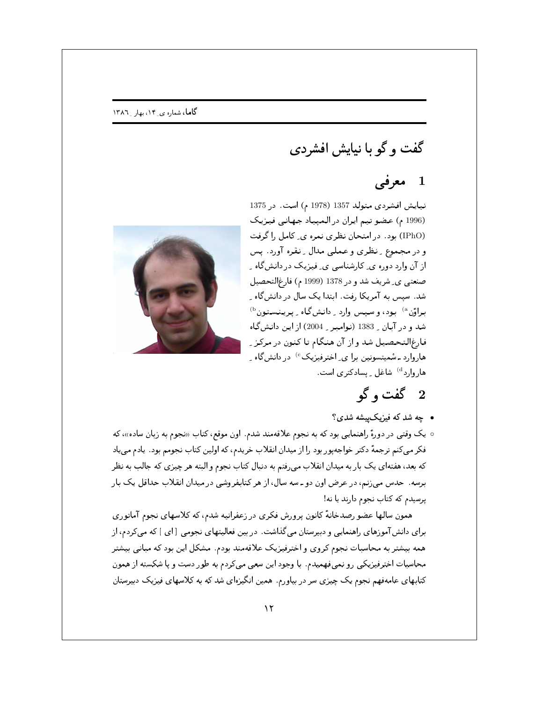## گاما، شماره ی ِ ۱۴، بهار ِ ۱۳۸۶

## گفت و گو با نیایش افشردی

## 1 معرفی

نیایش افشردی متولد 1357 (1978 م) است. در 1375 (1996 م) عضو تيم ايران در المپياد جهاني فيزيك (IPhO) بود. در امتحان نظري نمره ي ِ كامل را گرفت و در مجموع ِ نظري و عمليي مدال ِ نقره آورد. پس از آن وارد دوره ي ِ کارشناسي ي ِ فيزيک در دانشگاه ِ صنعتبي ي ِ شريف شد و در 1378 (1999 م) فارغ|لتحصيل شد. سیس به آمریکا رفت. ابتدا یک سال در دانشگاه ب براؤن <sup>۵)</sup> بود، و سپس وارد <sub>-</sub> دانشگاه <sub>-</sub> پرينستون <sup>(b</sup> شد و در آبان <sub>-</sub> 1383 (نوامبر <sub>-</sub> 2004) از اين دانشگاه فارغالتحصیل شد و از آن هنگام تا کنون در مرکز پ هاروارد<sup>ه)</sup> شاغل عیسادکتری است.



- چه شد که فیزیک پیشه شدی؟
- یک وقتبی در دورهٔ راهنمایبی بود که به نجوم علاقهمند شدم. اون موقع، کتاب «نجوم به زبان ساده»، که فکر میکنم ترجمهٔ دکتر خواجهپور بود را از میدان انقلاب خریدم، که اولین کتاب نجومم بود . یادم می یاد که بعد، هفتهای یک بار به میدان انقلاب می رفتم به دنبال کتاب نجوم و البته هر چیزی که جالب به نظر برسه . حدس می زنم، در عرض اون دو ـ سه سال، از هر کتابفروشی در میدان انقلاب حداقل یک بار پرسیدم که کتاب نجوم دارند یا نه!

همون سالها عضو رصدخانهٔ کانون پرورش فکری در زعفرانیه شدم، که کلاسهای نجوم آماتوری برای دانشآموزهای راهنمایی و دبیرستان میگذاشت. در بین فعالیتهای نجومی [ای ] که میکردم، از همه بیشتر به محاسبات نجوم کروی و اخترفیزیک علاقهمند بودم. مشکل این بود که مبانبی بیشتر محاسبات اخترفیزیکی رو نمیفهمیدم. با وجود این سعی میکردم به طور دست و پا شکسته از همون کتابهای عامهفهم نجوم یک چیزی سر در بیاورم. همین انگیزهای شد که به کلاسهای فیزیک دبیرستان

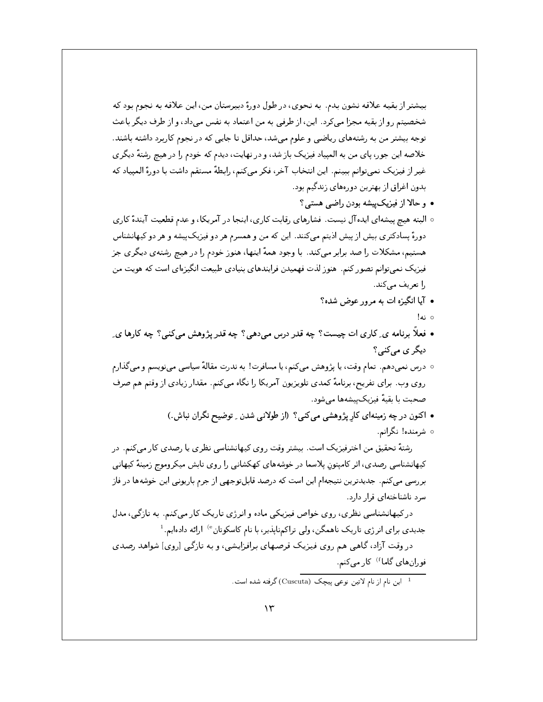بیشتر از بقیه علاقه نشون بدم. به نحوی، در طول دورهٔ دبیرستان من، این علاقه به نجوم بود که شخصیتم رو از بقیه مجزا میکرد. این، از طرفی به من اعتماد به نفس میداد، و از طرف دیگر باعث توجه بیشتر من به رشتههای ریاضی و علوم می شد، حداقل تا جایی که در نجوم کاربرد داشته باشند. خلاصه این جور، پای من به المپیاد فیزیک بازشد، و در نهایت، دیدم که خودم را در هیچ رشتهٔ دیگری غير از فيزيک نميتوانم ببينم. اين انتخاب آخر، فكر ميكنم، رابطهٔ مستقم داشت با دورهٔ الميياد كه بدون اغراق از بهترين دورههاى زندگيم بود.

- و حالا از فیزیک پیشه بودن راضبی هستبی؟
- ٥ البته هيچ پيشهاي ايده آل نيست. فشارهاي رقابت كاري، اينجا در آمريكا، و عدم قطعيت آيندهٔ كاري دورهٔ پسادکتری بیش از پیش اذیتم میکنند. این که من و همسرم هر دو فیزیکپیشه و هر دو کیهانشناس هستیم، مشکلات را صد برابر میکند. با وجود همهٔ اینها، هنوز خودم را در هیچ رشتهی دیگری جز فیزیک نمیتوانم تصور کنم. هنوز لذت فهمیدن فرایندهای بنیادی طبیعت انگیزهای است که هویت من را تعریف مے کند.
	- آيا انگيزه ات به مرور عوض شده؟
		- ⊙نه!
- فعلاً برنامه ي ِ كاري ات چيست؟ چه قدر درس مي دهي؟ چه قدر پژوهش مي كنبي؟ چه كارها ي ِ دیگر ی میکنی؟
- درس نمیدهم. تمام وقت، یا پژوهش میکنم، یا مسافرت! به ندرت مقالهٔ سیاسی مینویسم و میگذارم روی وب. برای تفریح، برنامهٔ کمدی تلویزیون آمریکا را نگاه میکنم. مقدار زیادی از وقتم هم صرف صحبت با بقيهٔ فيزيکپيشهها مى شود.
	- اکنون در چه زمینهای کار پژوهشی میکنی؟ (از طولانی شدن ِ توضیح نگران نباش.)
		- شرمنده! نگرانم.

رشتهٔ تحقیق من اخترفیزیک است. بیشتر وقت روی کیهانشناسی نظری یا رصدی کار میکنم. در کیهانشناسی رصدی، اثر کامیتون پلاسما در خوشههای کهکشانی را روی تابش میکروموج زمینهٔ کیهانی بررسی میکنم. جدیدترین نتیجه۱م این است که درصد قابلتوجهی از جرم باریونی این خوشهها در فاز سرد ناشناختهای قرار دارد.

در کیهانشناسی نظری، روی خواص فیزیکی ماده و انرژی تاریک کار میکنم. به تازگی، مدل جدیدی برای انرژی تاریک ناهمگن، ولی تراکمناپذیر، با نام کاسکوتان<sup>6</sup> ارائه دادهایم.<sup>1</sup>

در وقت آزاد، گاهبی هم روی فیزیک قرصهای برافزایشی، و به تازگی [روی] شواهد رصدی فورانهای گاما<sup>f (</sup> کار میکنم.

<sup>۔&</sup>lt;br>1- این نام از نام لاتین نوعی پیچک (Cuscuta) گرفته شده است.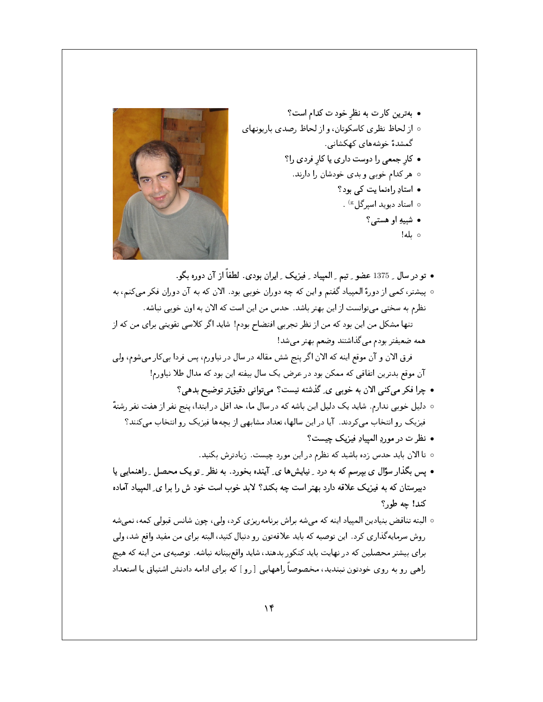

- تو در سال بـ 1375 عضو بـ تيم بـ الميياد بـ فيزيک بـ ايران بودي. لطفاً از آن دوره بگو. ه پیشتر، کمی از دورهٔ المپیاد گفتم و این که چه دوران خوبی بود. الان که به آن دوران فکر میکنم، به نظرم به سختی میتوانست از این بهتر باشد. حدس من این است که الان به اون خوبی نباشه. تنها مشکل من این بود که من از نظر تجربی افتضاح بودم! شاید اگر کلاسی تقویتی برای من که از همه ضعيفتر بودم مى گذاشتند وضعم بهتر مى شد! فرق الان و آن موقع اینه که الان اگر پنج شش مقاله در سال در نیاورم، پس فردا بی کار میشوم، ولی آن موقع بدترین اتفاقی که ممکن بود در عرض یک سال بیفته این بود که مدال طلا نیاورم! • چرا فکر میکنی الان به خوبی ی ِ گذشته نیست؟ میتوانی دقیقتر توضیح بدهی؟ ○ دلیل خوبی ندارم. شاید یک دلیل این باشه که در سال ما، حد اقل در ابتدا، پنج نفر از هفت نفر رشتهٔ فیزیک رو انتخاب می کردند. آیا در این سالها، تعداد مشابهی از بچهها فیزیک رو انتخاب می کنند؟ • نظر ت در موردِ المبيادِ فيزيک چيست؟ ه تا الان باید حدس زده باشید که نظرم در این مورد چیست. زیادترش بکنید. • پس بگذار سؤال ی بپرسم که به درد \_ نیایشها ی\_ آینده بخورد. به نظر \_ تو یک محصل \_ راهنمایی یا دبیرستان که به فیزیک علاقه دارد بهتر است چه بکند؟ لابد خوب است خود ش را برا ی ِ المپیاد آماده کند! چه طور؟ ○ البته تناقض بنيادين الميياد اينه كه مى شه براش برنامه٫يزي كرد، ولي، چون شانس قبولي كمه، نمى شه
	-
- روش سرمایهگذاری کرد . این توصیه که باید علاقهتون رو دنبال کنید، البته برای من مفید واقع شد، ولی برای بیشتر محصلین که در نهایت باید کنکور بدهند، شاید واقع بینانه نباشه . توصیهی من اینه که هیچ راهی رو به روی خودتون نبندید، مخصوصاً راههایی [رو ] که برای ادامه دادنش اشتیاق یا استعداد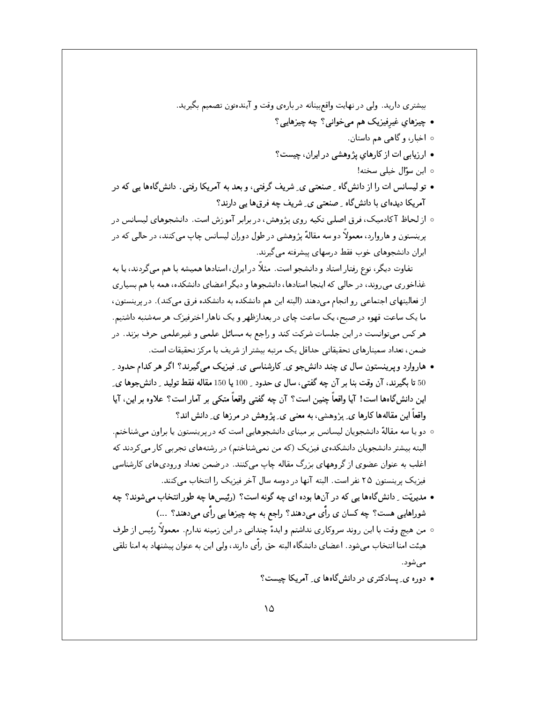بیشتری دارید. ولی در نهایت واقعبینانه در بارهی وقت و آیندهتون تصمیم بگیرید. • چیزهای غیرفیزیک هم میخوانی؟ چه چیزهایی؟

- ه اخبار، و گاهی هم داستان.
- ارزیابی ات از کارهای پژوهشی در ایران، چیست؟
	- ہ این سؤال خیلے سخته!
- تو لیسانس ات را از دانشگاه ـ صنعتبی ی ِ شریف گرفتبی، و بعد به آمریکا رفتبی. دانشگاهها یبی که در آمریکا دیدهای با دانشگاه *ِ صنعتی ی ِ شریف چه فرقها یی* دارند؟
- ه از لحاظ آکادمیک، فرق اصلی تکیه روی پژوهش، در برابر آموزش است. دانشجوهای لیسانس در پرینستون و هاروارد، معمولاً دو سه مقالهٔ پژوهشی در طول دوران لیسانس چاپ میکنند، در حالی که در ایران دانشجوهای خوب فقط درسهای پیشرفته می گیرند.

تفاوت دیگر، نوع رفتار استاد و دانشجو است. مثلاً در ایران، استادها همیشه با هم میگردند، یا به غذاخوری میروند، در حالبی که اینجا استادها، دانشجوها و دیگر اعضای دانشکده، همه با هم بسیاری از فعالیتهای اجتماعی رو انجام می دهند (البته این هم دانشکده به دانشکده فرق می کند). در پرینستون، ما یک ساعت قهوه در صبح، یک ساعت چای در بعدازظهر و یک ناهار اخترفیزک هر سهشنبه داشتیم. هر کس میتوانست در این جلسات شرکت کند و راجع به مسائل علمی و غیرعلمی حرف بزند. در ضمن، تعداد سمینارهای تحقیقاتی حداقل یک مرتبه بیشتر از شریف یا مرکز تحقیقات است.

- هاروارد و پرینستون سال ی چند دانشجو ی ِکارشناسی ی ِ فیزیک میگیرند؟ اگر هر کدام حدود ِ 50 تا بگیرند، آن وقت بنا بر آن چه گفتبی، سال ی حدود ِ 100 یا 150 مقاله فقط تولید ِ دانشجوها ی ِ این دانش&اهها است! آیا واقعاً چنین است؟ آن چه گفتبی واقعاً متکبی بر آمار است؟ علاوه بر این، آیا واقعاً این مقالهها کارها ی ِ پژوهشی، به معنی ی ِ پژوهش در مرزها ی ِ دانش اند؟
- دو یا سه مقالهٔ دانشجویان لیسانس بر مبنای دانشجوهایی است که در پرینستون یا براون میشناختم. البته بیشتر دانشجویان دانشکدهی فیزیک (که من نمیشناختم) در رشتههای تجربی کار میکردند که اغلب به عنوان عضوی از گروههای بزرگ مقاله چاپ می کنند. در ضمن تعداد ورودیهای کارشناسی فیزیک پرینستون ۲۵ نفر است. البته آنها در دوسه سال آخر فیزیک را انتخاب می کنند.
- مدیریّت ِ دانش&اها یی که در آنها بوده ای چه گونه است؟ (رئیسها چه طور انتخاب می شوند؟ چه شوراهایی هست؟ چه کسان ی رأی می دهند؟ راجع به چه چیزها یی رأی می دهند؟ ...)
- من هيچ وقت با اين روند سروكاري نداشتم و ايدهٔ چنداني در اين زمينه ندارم. معمولاً رئيس از طرف هیئت امنا انتخاب میشود . اعضای دانشگاه البته حق راّی دارند، ولی این به عنوان پیشنهاد به امنا تلقی می شود.
	- دوره ی ِ پسادکتری در دانشگاهها ی ِ آمریکا چیست؟